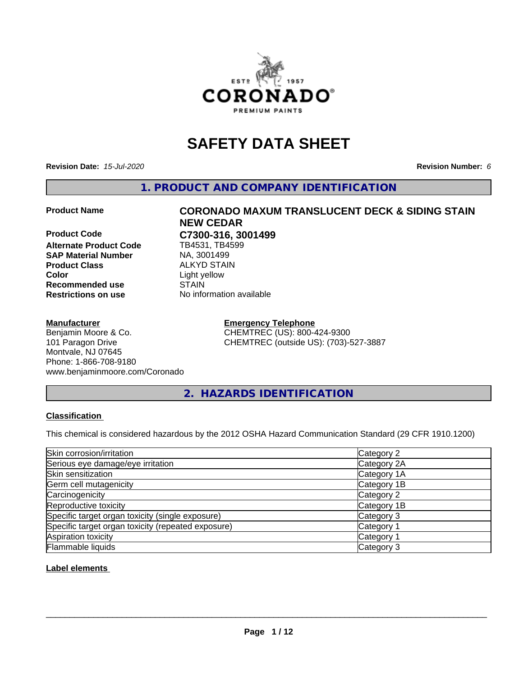

# **SAFETY DATA SHEET**

**Revision Date:** *15-Jul-2020* **Revision Number:** *6*

**1. PRODUCT AND COMPANY IDENTIFICATION**

**Product Code C7300-316, 3001499 Alternate Product Code SAP Material Number** NA, 3001499<br>**Product Class** ALKYD STAII **Color** Light yellow **Recommended use STAIN<br>
<b>Restrictions on use** Mo info

#### **Manufacturer**

Benjamin Moore & Co. 101 Paragon Drive Montvale, NJ 07645 Phone: 1-866-708-9180 www.benjaminmoore.com/Coronado

# **Product Name CORONADO MAXUM TRANSLUCENT DECK & SIDING STAIN NEW CEDAR**

**ALKYD STAIN No information available** 

> **Emergency Telephone** CHEMTREC (US): 800-424-9300 CHEMTREC (outside US): (703)-527-3887

**2. HAZARDS IDENTIFICATION**

#### **Classification**

This chemical is considered hazardous by the 2012 OSHA Hazard Communication Standard (29 CFR 1910.1200)

| Skin corrosion/irritation                          | Category 2            |
|----------------------------------------------------|-----------------------|
| Serious eye damage/eye irritation                  | Category 2A           |
| Skin sensitization                                 | Category 1A           |
| Germ cell mutagenicity                             | Category 1B           |
| Carcinogenicity                                    | Category 2            |
| Reproductive toxicity                              | Category 1B           |
| Specific target organ toxicity (single exposure)   | Category 3            |
| Specific target organ toxicity (repeated exposure) | Category <sup>2</sup> |
| Aspiration toxicity                                | Category <sup>2</sup> |
| Flammable liquids                                  | Category 3            |

#### **Label elements**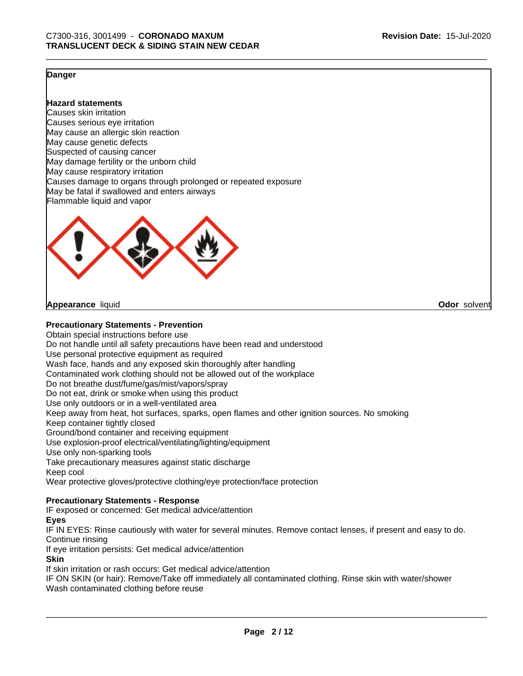**Odor** solvent

#### **Danger**

**Hazard statements**

Causes skin irritation Causes serious eye irritation May cause an allergic skin reaction May cause genetic defects Suspected of causing cancer May damage fertility or the unborn child May cause respiratory irritation Causes damage to organs through prolonged or repeated exposure May be fatal if swallowed and enters airways Flammable liquid and vapor



**Appearance** liquid

#### **Precautionary Statements - Prevention**

Obtain special instructions before use Do not handle until all safety precautions have been read and understood Use personal protective equipment as required Wash face, hands and any exposed skin thoroughly after handling Contaminated work clothing should not be allowed out of the workplace Do not breathe dust/fume/gas/mist/vapors/spray Do not eat, drink or smoke when using this product Use only outdoors or in a well-ventilated area Keep away from heat, hot surfaces, sparks, open flames and other ignition sources. No smoking Keep container tightly closed Ground/bond container and receiving equipment Use explosion-proof electrical/ventilating/lighting/equipment Use only non-sparking tools Take precautionary measures against static discharge Keep cool Wear protective gloves/protective clothing/eye protection/face protection

#### **Precautionary Statements - Response**

IF exposed or concerned: Get medical advice/attention

#### **Eyes**

IF IN EYES: Rinse cautiously with water for several minutes. Remove contact lenses, if present and easy to do. Continue rinsing

If eye irritation persists: Get medical advice/attention

#### **Skin**

If skin irritation or rash occurs: Get medical advice/attention

IF ON SKIN (or hair): Remove/Take off immediately all contaminated clothing. Rinse skin with water/shower Wash contaminated clothing before reuse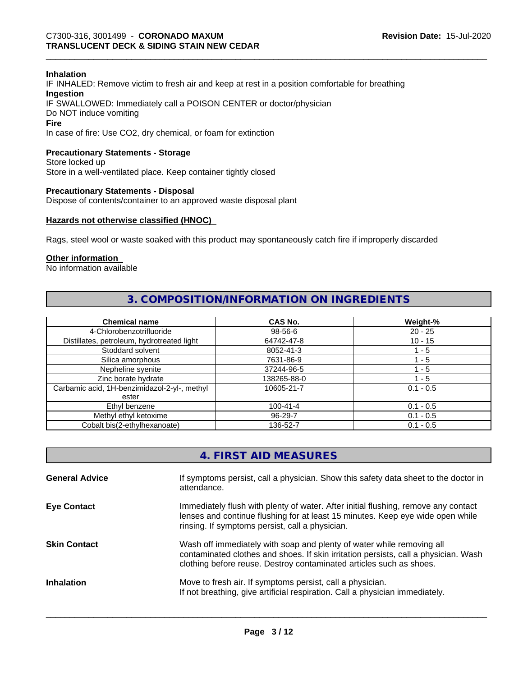#### **Inhalation**

IF INHALED: Remove victim to fresh air and keep at rest in a position comfortable for breathing **Ingestion** IF SWALLOWED: Immediately call a POISON CENTER or doctor/physician Do NOT induce vomiting **Fire** In case of fire: Use CO2, dry chemical, or foam for extinction

#### **Precautionary Statements - Storage**

Store locked up Store in a well-ventilated place. Keep container tightly closed

#### **Precautionary Statements - Disposal**

Dispose of contents/container to an approved waste disposal plant

#### **Hazards not otherwise classified (HNOC)**

Rags, steel wool or waste soaked with this product may spontaneously catch fire if improperly discarded

#### **Other information**

No information available

# **3. COMPOSITION/INFORMATION ON INGREDIENTS**

| <b>Chemical name</b>                         | <b>CAS No.</b> | Weight-%    |
|----------------------------------------------|----------------|-------------|
| 4-Chlorobenzotrifluoride                     | 98-56-6        | $20 - 25$   |
| Distillates, petroleum, hydrotreated light   | 64742-47-8     | $10 - 15$   |
| Stoddard solvent                             | 8052-41-3      | 1 - 5       |
| Silica amorphous                             | 7631-86-9      | 1 - 5       |
| Nepheline syenite                            | 37244-96-5     | $-5$        |
| Zinc borate hydrate                          | 138265-88-0    | 1 - 5       |
| Carbamic acid, 1H-benzimidazol-2-yl-, methyl | 10605-21-7     | $0.1 - 0.5$ |
| ester                                        |                |             |
| Ethyl benzene                                | $100 - 41 - 4$ | $0.1 - 0.5$ |
| Methyl ethyl ketoxime                        | 96-29-7        | $0.1 - 0.5$ |
| Cobalt bis(2-ethylhexanoate)                 | 136-52-7       | $0.1 - 0.5$ |

| 4. FIRST AID MEASURES |  |
|-----------------------|--|
|-----------------------|--|

| <b>General Advice</b> | If symptoms persist, call a physician. Show this safety data sheet to the doctor in<br>attendance.                                                                                                                                  |
|-----------------------|-------------------------------------------------------------------------------------------------------------------------------------------------------------------------------------------------------------------------------------|
| <b>Eye Contact</b>    | Immediately flush with plenty of water. After initial flushing, remove any contact<br>lenses and continue flushing for at least 15 minutes. Keep eye wide open while<br>rinsing. If symptoms persist, call a physician.             |
| <b>Skin Contact</b>   | Wash off immediately with soap and plenty of water while removing all<br>contaminated clothes and shoes. If skin irritation persists, call a physician. Wash<br>clothing before reuse. Destroy contaminated articles such as shoes. |
| <b>Inhalation</b>     | Move to fresh air. If symptoms persist, call a physician.<br>If not breathing, give artificial respiration. Call a physician immediately.                                                                                           |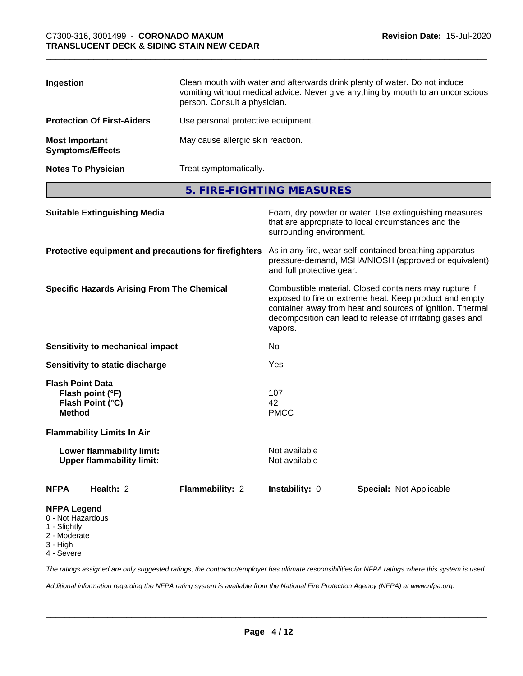| Ingestion                                        | Clean mouth with water and afterwards drink plenty of water. Do not induce<br>vomiting without medical advice. Never give anything by mouth to an unconscious<br>person. Consult a physician. |
|--------------------------------------------------|-----------------------------------------------------------------------------------------------------------------------------------------------------------------------------------------------|
| <b>Protection Of First-Aiders</b>                | Use personal protective equipment.                                                                                                                                                            |
| <b>Most Important</b><br><b>Symptoms/Effects</b> | May cause allergic skin reaction.                                                                                                                                                             |
| <b>Notes To Physician</b>                        | Treat symptomatically.                                                                                                                                                                        |

**5. FIRE-FIGHTING MEASURES**

| <b>Suitable Extinguishing Media</b>                                                                                   | Foam, dry powder or water. Use extinguishing measures<br>that are appropriate to local circumstances and the<br>surrounding environment.<br>As in any fire, wear self-contained breathing apparatus<br>pressure-demand, MSHA/NIOSH (approved or equivalent)<br>and full protective gear.<br>Combustible material. Closed containers may rupture if<br>exposed to fire or extreme heat. Keep product and empty<br>container away from heat and sources of ignition. Thermal<br>decomposition can lead to release of irritating gases and<br>vapors.<br>No<br>Yes |  |
|-----------------------------------------------------------------------------------------------------------------------|-----------------------------------------------------------------------------------------------------------------------------------------------------------------------------------------------------------------------------------------------------------------------------------------------------------------------------------------------------------------------------------------------------------------------------------------------------------------------------------------------------------------------------------------------------------------|--|
| Protective equipment and precautions for firefighters                                                                 |                                                                                                                                                                                                                                                                                                                                                                                                                                                                                                                                                                 |  |
| <b>Specific Hazards Arising From The Chemical</b>                                                                     |                                                                                                                                                                                                                                                                                                                                                                                                                                                                                                                                                                 |  |
| <b>Sensitivity to mechanical impact</b>                                                                               |                                                                                                                                                                                                                                                                                                                                                                                                                                                                                                                                                                 |  |
| Sensitivity to static discharge                                                                                       |                                                                                                                                                                                                                                                                                                                                                                                                                                                                                                                                                                 |  |
| <b>Flash Point Data</b><br>Flash point (°F)<br>Flash Point (°C)<br><b>Method</b><br><b>Flammability Limits In Air</b> | 107<br>42<br><b>PMCC</b>                                                                                                                                                                                                                                                                                                                                                                                                                                                                                                                                        |  |
| Lower flammability limit:<br><b>Upper flammability limit:</b>                                                         | Not available<br>Not available                                                                                                                                                                                                                                                                                                                                                                                                                                                                                                                                  |  |
| Health: 2<br><b>NFPA</b><br>Flammability: 2                                                                           | Instability: 0<br><b>Special: Not Applicable</b>                                                                                                                                                                                                                                                                                                                                                                                                                                                                                                                |  |
| <b>NFPA Legend</b><br>0 - Not Hazardous<br>1 - Slightly<br>2 - Moderate<br>3 - High<br>4 - Severe                     |                                                                                                                                                                                                                                                                                                                                                                                                                                                                                                                                                                 |  |

*The ratings assigned are only suggested ratings, the contractor/employer has ultimate responsibilities for NFPA ratings where this system is used.*

*Additional information regarding the NFPA rating system is available from the National Fire Protection Agency (NFPA) at www.nfpa.org.*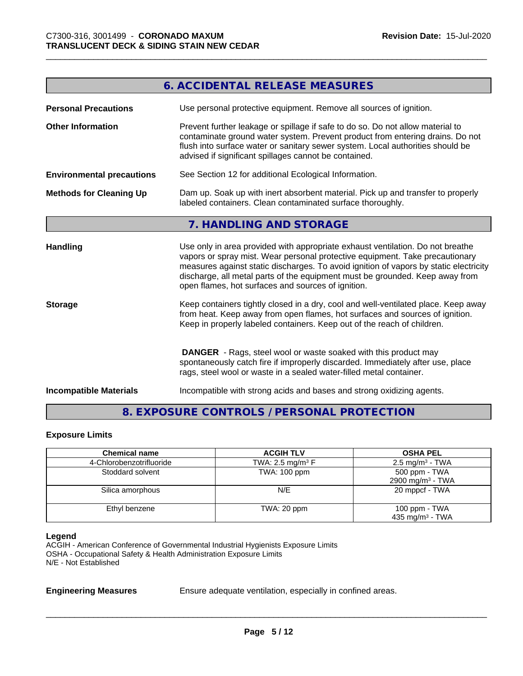|                                  | <b>6. ACCIDENTAL RELEASE MEASURES</b>                                                                                                                                                                                                                                                                                                                                                         |
|----------------------------------|-----------------------------------------------------------------------------------------------------------------------------------------------------------------------------------------------------------------------------------------------------------------------------------------------------------------------------------------------------------------------------------------------|
|                                  |                                                                                                                                                                                                                                                                                                                                                                                               |
| <b>Personal Precautions</b>      | Use personal protective equipment. Remove all sources of ignition.                                                                                                                                                                                                                                                                                                                            |
| <b>Other Information</b>         | Prevent further leakage or spillage if safe to do so. Do not allow material to<br>contaminate ground water system. Prevent product from entering drains. Do not<br>flush into surface water or sanitary sewer system. Local authorities should be<br>advised if significant spillages cannot be contained.                                                                                    |
| <b>Environmental precautions</b> | See Section 12 for additional Ecological Information.                                                                                                                                                                                                                                                                                                                                         |
| <b>Methods for Cleaning Up</b>   | Dam up. Soak up with inert absorbent material. Pick up and transfer to properly<br>labeled containers. Clean contaminated surface thoroughly.                                                                                                                                                                                                                                                 |
|                                  | 7. HANDLING AND STORAGE                                                                                                                                                                                                                                                                                                                                                                       |
| <b>Handling</b>                  | Use only in area provided with appropriate exhaust ventilation. Do not breathe<br>vapors or spray mist. Wear personal protective equipment. Take precautionary<br>measures against static discharges. To avoid ignition of vapors by static electricity<br>discharge, all metal parts of the equipment must be grounded. Keep away from<br>open flames, hot surfaces and sources of ignition. |
| <b>Storage</b>                   | Keep containers tightly closed in a dry, cool and well-ventilated place. Keep away<br>from heat. Keep away from open flames, hot surfaces and sources of ignition.<br>Keep in properly labeled containers. Keep out of the reach of children.                                                                                                                                                 |
|                                  | <b>DANGER</b> - Rags, steel wool or waste soaked with this product may<br>spontaneously catch fire if improperly discarded. Immediately after use, place<br>rags, steel wool or waste in a sealed water-filled metal container.                                                                                                                                                               |
| <b>Incompatible Materials</b>    | Incompatible with strong acids and bases and strong oxidizing agents.                                                                                                                                                                                                                                                                                                                         |

# **8. EXPOSURE CONTROLS / PERSONAL PROTECTION**

#### **Exposure Limits**

| <b>Chemical name</b>     | <b>ACGIH TLV</b>               | <b>OSHA PEL</b>                                |
|--------------------------|--------------------------------|------------------------------------------------|
| 4-Chlorobenzotrifluoride | TWA: 2.5 mg/m <sup>3</sup> $F$ | $2.5 \text{ mg/m}^3$ - TWA                     |
| Stoddard solvent         | TWA: 100 ppm                   | 500 ppm - TWA<br>2900 mg/m <sup>3</sup> - TWA  |
| Silica amorphous         | N/E                            | 20 mppcf - TWA                                 |
| Ethyl benzene            | TWA: 20 ppm                    | 100 ppm $-$ TWA<br>435 mg/m <sup>3</sup> - TWA |

#### **Legend**

ACGIH - American Conference of Governmental Industrial Hygienists Exposure Limits OSHA - Occupational Safety & Health Administration Exposure Limits N/E - Not Established

**Engineering Measures** Ensure adequate ventilation, especially in confined areas.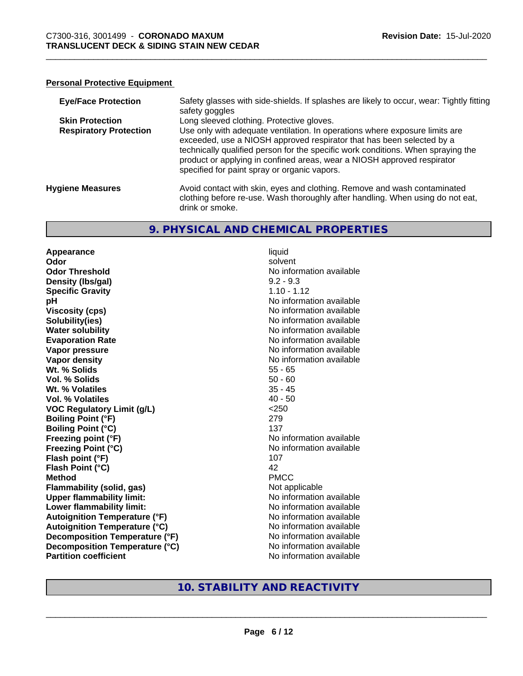#### **Personal Protective Equipment**

| <b>Eye/Face Protection</b>    | Safety glasses with side-shields. If splashes are likely to occur, wear: Tightly fitting<br>safety goggles                                                                                                                                                                                                                                                          |
|-------------------------------|---------------------------------------------------------------------------------------------------------------------------------------------------------------------------------------------------------------------------------------------------------------------------------------------------------------------------------------------------------------------|
| <b>Skin Protection</b>        | Long sleeved clothing. Protective gloves.                                                                                                                                                                                                                                                                                                                           |
| <b>Respiratory Protection</b> | Use only with adequate ventilation. In operations where exposure limits are<br>exceeded, use a NIOSH approved respirator that has been selected by a<br>technically qualified person for the specific work conditions. When spraying the<br>product or applying in confined areas, wear a NIOSH approved respirator<br>specified for paint spray or organic vapors. |
| <b>Hygiene Measures</b>       | Avoid contact with skin, eyes and clothing. Remove and wash contaminated<br>clothing before re-use. Wash thoroughly after handling. When using do not eat,<br>drink or smoke.                                                                                                                                                                                       |

#### **9. PHYSICAL AND CHEMICAL PROPERTIES**

**Appearance** liquid **Odor** solvent **Odor Threshold No information available No information available Density (lbs/gal)** 9.2 - 9.3 **Specific Gravity** 1.10 - 1.12 **pH** No information available **Viscosity (cps)** No information available Notice 1, 1999 **Solubility(ies)**<br> **Solubility**<br> **Water solubility**<br> **Water solubility Evaporation Rate No information available No information available Vapor pressure** No information available **Vapor density No information available No information available Wt. % Solids** 55 - 65 **Vol. % Solids** 50 - 60 **Wt. % Volatiles** 35 - 45 **Vol. % Volatiles** 40 - 50 **VOC Regulatory Limit (g/L)** <250 **Boiling Point (°F)** 279 **Boiling Point (°C)** 137 **Freezing point (°F)** No information available **Freezing Point (°C)** The state of the Mondo No information available **Flash point (°F)** 107 **Flash Point (°C)** 42 **Method** PMCC **Flammability (solid, gas)** Not applicable **Upper flammability limit:** No information available **Lower flammability limit:**<br> **Autoignition Temperature (°F)** No information available<br>
No information available **Autoignition Temperature (°F)**<br> **Autoignition Temperature (°C)** No information available **Autoignition Temperature (°C) Decomposition Temperature (°F)** No information available **Decomposition Temperature (°C)** No information available **Partition coefficient Community Contract Contract Contract Contract Contract Contract Contract Contract Contract Contract Contract Contract Contract Contract Contract Contract Contract Contract Contract Contract Contr** 

**No information available** 

**10. STABILITY AND REACTIVITY**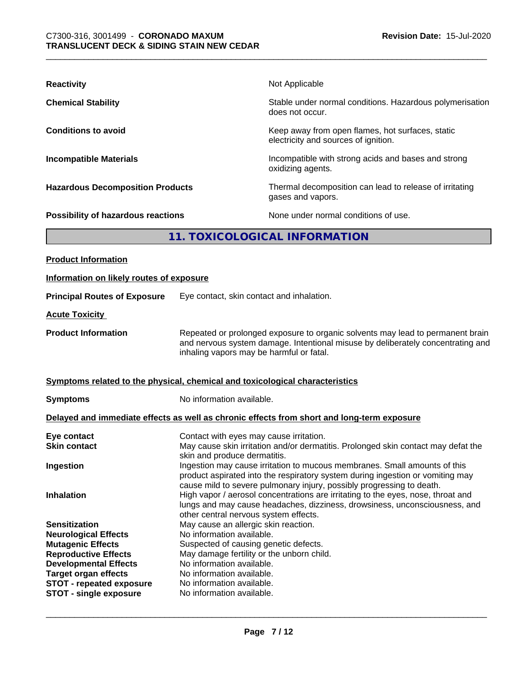| <b>Reactivity</b>                                                            |                                                                                                                                                                                                               | Not Applicable                                                                             |
|------------------------------------------------------------------------------|---------------------------------------------------------------------------------------------------------------------------------------------------------------------------------------------------------------|--------------------------------------------------------------------------------------------|
| <b>Chemical Stability</b>                                                    |                                                                                                                                                                                                               | Stable under normal conditions. Hazardous polymerisation<br>does not occur.                |
| <b>Conditions to avoid</b>                                                   |                                                                                                                                                                                                               | Keep away from open flames, hot surfaces, static<br>electricity and sources of ignition.   |
| <b>Incompatible Materials</b>                                                |                                                                                                                                                                                                               | Incompatible with strong acids and bases and strong<br>oxidizing agents.                   |
| <b>Hazardous Decomposition Products</b>                                      |                                                                                                                                                                                                               | Thermal decomposition can lead to release of irritating<br>gases and vapors.               |
| Possibility of hazardous reactions                                           |                                                                                                                                                                                                               | None under normal conditions of use.                                                       |
|                                                                              |                                                                                                                                                                                                               | 11. TOXICOLOGICAL INFORMATION                                                              |
| <b>Product Information</b>                                                   |                                                                                                                                                                                                               |                                                                                            |
| Information on likely routes of exposure                                     |                                                                                                                                                                                                               |                                                                                            |
| <b>Principal Routes of Exposure</b>                                          | Eye contact, skin contact and inhalation.                                                                                                                                                                     |                                                                                            |
| <b>Acute Toxicity</b>                                                        |                                                                                                                                                                                                               |                                                                                            |
| <b>Product Information</b>                                                   | Repeated or prolonged exposure to organic solvents may lead to permanent brain<br>and nervous system damage. Intentional misuse by deliberately concentrating and<br>inhaling vapors may be harmful or fatal. |                                                                                            |
| Symptoms related to the physical, chemical and toxicological characteristics |                                                                                                                                                                                                               |                                                                                            |
| <b>Symptoms</b>                                                              | No information available.                                                                                                                                                                                     |                                                                                            |
|                                                                              |                                                                                                                                                                                                               | Delayed and immediate effects as well as chronic effects from short and long-term exposure |
| Eye contact<br><b>Skin contact</b>                                           | Contact with eyes may cause irritation.<br>May cause skin irritation and/or dermatitis. Prolonged skin contact may defat the<br>skin and produce dermatitis.                                                  |                                                                                            |

**Ingestion Ingestion may cause irritation to mucous membranes. Small amounts of this** 

**Inhalation High vapor / aerosol concentrations are irritating to the eyes, nose, throat and** 

lungs and may cause headaches, dizziness, drowsiness, unconsciousness, and other central nervous system effects. **Sensitization** May cause an allergic skin reaction. **Neurological Effects** No information available.<br> **Mutagenic Effects** Suspected of causing ger **Mutagenic Effects**<br> **Reproductive Effects**<br> **May damage fertility or the unborn chillengle of the unborn chillengle of the unborn chillengle of the unborn chill** May damage fertility or the unborn child.<br>No information available. **Developmental Effects** No information available.<br> **Target organ effects** No information available. **Target organ effects** No information available.<br>**STOT - repeated exposure** No information available. **STOT** - repeated exposure

product aspirated into the respiratory system during ingestion or vomiting may

cause mild to severe pulmonary injury, possibly progressing to death.

 $\overline{\phantom{a}}$  ,  $\overline{\phantom{a}}$  ,  $\overline{\phantom{a}}$  ,  $\overline{\phantom{a}}$  ,  $\overline{\phantom{a}}$  ,  $\overline{\phantom{a}}$  ,  $\overline{\phantom{a}}$  ,  $\overline{\phantom{a}}$  ,  $\overline{\phantom{a}}$  ,  $\overline{\phantom{a}}$  ,  $\overline{\phantom{a}}$  ,  $\overline{\phantom{a}}$  ,  $\overline{\phantom{a}}$  ,  $\overline{\phantom{a}}$  ,  $\overline{\phantom{a}}$  ,  $\overline{\phantom{a}}$ 

**STOT** - **single exposure** No information available.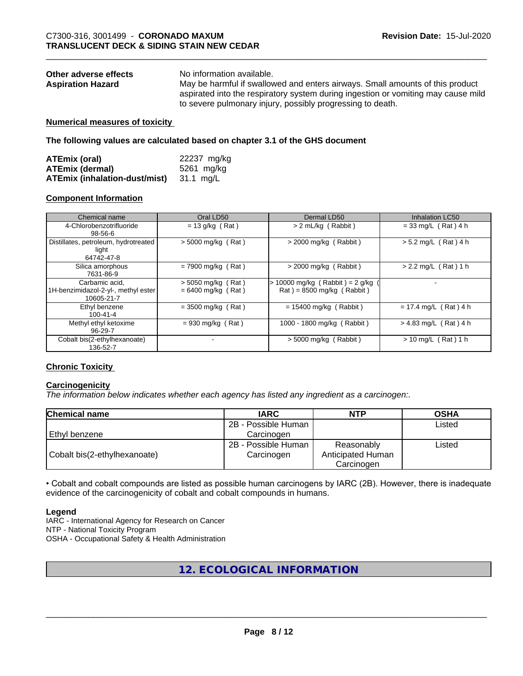| Other adverse effects    | No information available.                                                         |
|--------------------------|-----------------------------------------------------------------------------------|
| <b>Aspiration Hazard</b> | May be harmful if swallowed and enters airways. Small amounts of this product     |
|                          | aspirated into the respiratory system during ingestion or vomiting may cause mild |
|                          | to severe pulmonary injury, possibly progressing to death.                        |

#### **Numerical measures of toxicity**

**The following values are calculated based on chapter 3.1 of the GHS document**

| ATEmix (oral)                           | 22237 mg/kg |
|-----------------------------------------|-------------|
| <b>ATEmix (dermal)</b>                  | 5261 mg/kg  |
| ATEmix (inhalation-dust/mist) 31.1 mg/L |             |

#### **Component Information**

| Chemical name                                                       | Oral LD50                                    | Dermal LD50                                                    | <b>Inhalation LC50</b>     |
|---------------------------------------------------------------------|----------------------------------------------|----------------------------------------------------------------|----------------------------|
| 4-Chlorobenzotrifluoride<br>$98 - 56 - 6$                           | $= 13$ g/kg (Rat)                            | > 2 mL/kg (Rabbit)                                             | $= 33$ mg/L (Rat) 4 h      |
| Distillates, petroleum, hydrotreated<br>light<br>64742-47-8         | $>$ 5000 mg/kg (Rat)                         | > 2000 mg/kg (Rabbit)                                          | $> 5.2$ mg/L (Rat) 4 h     |
| Silica amorphous<br>7631-86-9                                       | $= 7900$ mg/kg (Rat)                         | $>$ 2000 mg/kg (Rabbit)                                        | $> 2.2$ mg/L (Rat) 1 h     |
| Carbamic acid,<br>1H-benzimidazol-2-yl-, methyl ester<br>10605-21-7 | $>$ 5050 mg/kg (Rat)<br>$= 6400$ mg/kg (Rat) | > 10000 mg/kg (Rabbit) = 2 g/kg<br>$Rat$ = 8500 mg/kg (Rabbit) |                            |
| Ethyl benzene<br>$100 - 41 - 4$                                     | $= 3500$ mg/kg (Rat)                         | $= 15400$ mg/kg (Rabbit)                                       | $= 17.4$ mg/L (Rat) 4 h    |
| Methyl ethyl ketoxime<br>96-29-7                                    | $= 930$ mg/kg (Rat)                          | 1000 - 1800 mg/kg (Rabbit)                                     | $> 4.83$ mg/L (Rat) 4 h    |
| Cobalt bis(2-ethylhexanoate)<br>136-52-7                            |                                              | $>$ 5000 mg/kg (Rabbit)                                        | (Rat) 1 h<br>$> 10$ mg/L ( |

#### **Chronic Toxicity**

#### **Carcinogenicity**

*The information below indicateswhether each agency has listed any ingredient as a carcinogen:.*

| <b>Chemical name</b>         | <b>IARC</b>         | <b>NTP</b>        | <b>OSHA</b> |
|------------------------------|---------------------|-------------------|-------------|
|                              | 2B - Possible Human |                   | Listed      |
| Ethyl benzene                | Carcinoɑen          |                   |             |
|                              | 2B - Possible Human | Reasonably        | Listed      |
| Cobalt bis(2-ethylhexanoate) | Carcinogen          | Anticipated Human |             |
|                              |                     | Carcinogen        |             |

• Cobalt and cobalt compounds are listed as possible human carcinogens by IARC (2B). However, there is inadequate evidence of the carcinogenicity of cobalt and cobalt compounds in humans.

#### **Legend**

IARC - International Agency for Research on Cancer NTP - National Toxicity Program OSHA - Occupational Safety & Health Administration

# **12. ECOLOGICAL INFORMATION**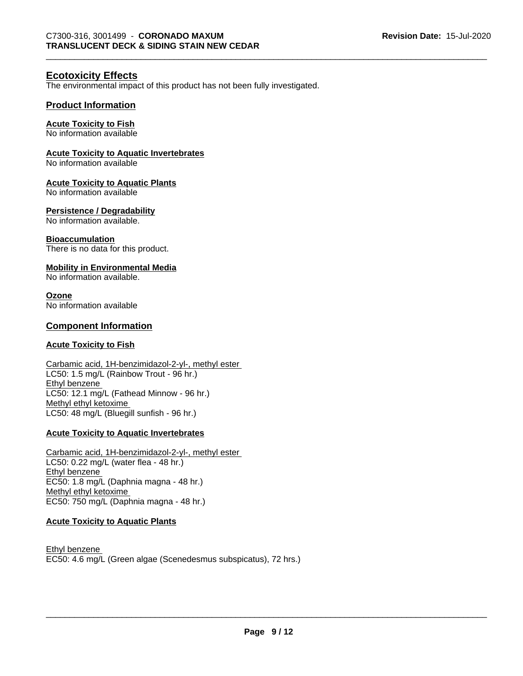### **Ecotoxicity Effects**

The environmental impact of this product has not been fully investigated.

#### **Product Information**

#### **Acute Toxicity to Fish**

No information available

#### **Acute Toxicity to Aquatic Invertebrates**

No information available

#### **Acute Toxicity to Aquatic Plants**

No information available

#### **Persistence / Degradability**

No information available.

#### **Bioaccumulation**

There is no data for this product.

#### **Mobility in Environmental Media**

No information available.

#### **Ozone**

No information available

#### **Component Information**

#### **Acute Toxicity to Fish**

Carbamic acid, 1H-benzimidazol-2-yl-, methyl ester LC50: 1.5 mg/L (Rainbow Trout - 96 hr.) Ethyl benzene LC50: 12.1 mg/L (Fathead Minnow - 96 hr.) Methyl ethyl ketoxime LC50: 48 mg/L (Bluegill sunfish - 96 hr.)

#### **Acute Toxicity to Aquatic Invertebrates**

Carbamic acid, 1H-benzimidazol-2-yl-, methyl ester LC50: 0.22 mg/L (water flea - 48 hr.) Ethyl benzene EC50: 1.8 mg/L (Daphnia magna - 48 hr.) Methyl ethyl ketoxime EC50: 750 mg/L (Daphnia magna - 48 hr.)

#### **Acute Toxicity to Aquatic Plants**

Ethyl benzene EC50: 4.6 mg/L (Green algae (Scenedesmus subspicatus), 72 hrs.)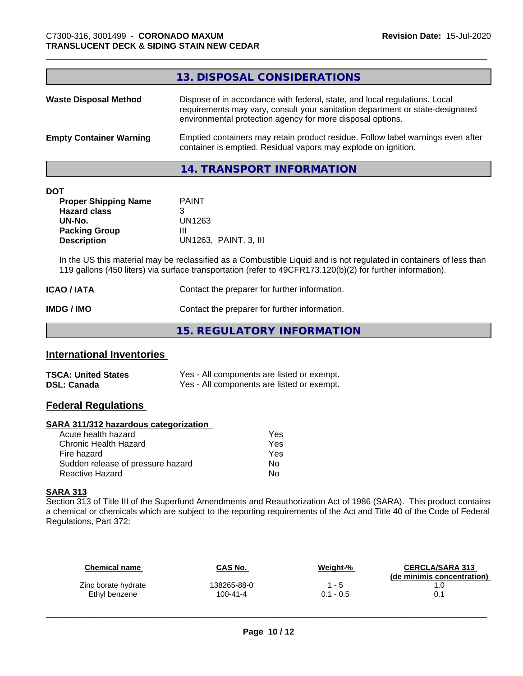#### **13. DISPOSAL CONSIDERATIONS**

| <b>Waste Disposal Method</b>   | Dispose of in accordance with federal, state, and local regulations. Local<br>requirements may vary, consult your sanitation department or state-designated<br>environmental protection agency for more disposal options. |
|--------------------------------|---------------------------------------------------------------------------------------------------------------------------------------------------------------------------------------------------------------------------|
| <b>Empty Container Warning</b> | Emptied containers may retain product residue. Follow label warnings even after<br>container is emptied. Residual vapors may explode on ignition.                                                                         |

# **14. TRANSPORT INFORMATION**

#### **DOT**

| <b>Proper Shipping Name</b> | <b>PAINT</b>          |
|-----------------------------|-----------------------|
| <b>Hazard class</b>         | З                     |
| UN-No.                      | UN1263                |
| <b>Packing Group</b>        | Ш                     |
| <b>Description</b>          | UN1263. PAINT. 3. III |

In the US this material may be reclassified as a Combustible Liquid and is not regulated in containers of less than 119 gallons (450 liters) via surface transportation (refer to 49CFR173.120(b)(2) for further information).

| ICAO / IATA       | Contact the preparer for further information. |
|-------------------|-----------------------------------------------|
| <b>IMDG / IMO</b> | Contact the preparer for further information. |

**15. REGULATORY INFORMATION**

### **International Inventories**

| <b>TSCA: United States</b> | Yes - All components are listed or exempt. |
|----------------------------|--------------------------------------------|
| <b>DSL: Canada</b>         | Yes - All components are listed or exempt. |

## **Federal Regulations**

#### **SARA 311/312 hazardous categorization**

| Acute health hazard               | Yes |  |
|-----------------------------------|-----|--|
| Chronic Health Hazard             | Yes |  |
| Fire hazard                       | Yes |  |
| Sudden release of pressure hazard | N٥  |  |
| Reactive Hazard                   | Nο  |  |

#### **SARA 313**

Section 313 of Title III of the Superfund Amendments and Reauthorization Act of 1986 (SARA). This product contains a chemical or chemicals which are subject to the reporting requirements of the Act and Title 40 of the Code of Federal Regulations, Part 372:

| <b>Chemical name</b> | CAS No.     | Weight-%    | <b>CERCLA/SARA 313</b><br>(de minimis concentration) |
|----------------------|-------------|-------------|------------------------------------------------------|
| Zinc borate hydrate  | 138265-88-0 | 1 - 5       | .0                                                   |
| Ethyl benzene        | 100-41-4    | $0.1 - 0.5$ |                                                      |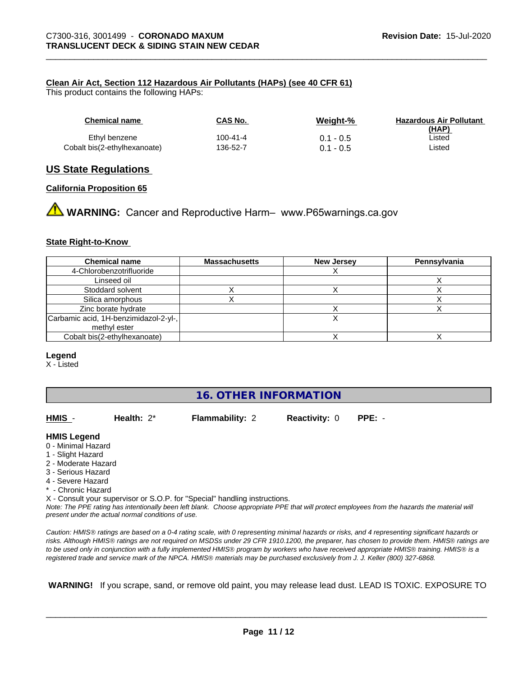#### **Clean Air Act,Section 112 Hazardous Air Pollutants (HAPs) (see 40 CFR 61)**

This product contains the following HAPs:

| <b>Chemical name</b>         | CAS No.  | Weight-%    | <b>Hazardous Air Pollutant</b><br>(HAP) |
|------------------------------|----------|-------------|-----------------------------------------|
| Ethyl benzene                | 100-41-4 | $0.1 - 0.5$ | ∟isted                                  |
| Cobalt bis(2-ethylhexanoate) | 136-52-7 | $0.1 - 0.5$ | Listed                                  |

#### **US State Regulations**

#### **California Proposition 65**

**A** WARNING: Cancer and Reproductive Harm– www.P65warnings.ca.gov

#### **State Right-to-Know**

| <b>Chemical name</b>                  | <b>Massachusetts</b> | <b>New Jersey</b> | Pennsylvania |
|---------------------------------------|----------------------|-------------------|--------------|
| 4-Chlorobenzotrifluoride              |                      |                   |              |
| Linseed oil                           |                      |                   |              |
| Stoddard solvent                      |                      |                   |              |
| Silica amorphous                      |                      |                   |              |
| Zinc borate hydrate                   |                      |                   |              |
| Carbamic acid, 1H-benzimidazol-2-yl-, |                      |                   |              |
| methyl ester                          |                      |                   |              |
| Cobalt bis(2-ethylhexanoate)          |                      |                   |              |

#### **Legend**

X - Listed

# **16. OTHER INFORMATION**

**Flammability: 2 Reactivity: 0 PPE: -**

 $\overline{\phantom{a}}$  ,  $\overline{\phantom{a}}$  ,  $\overline{\phantom{a}}$  ,  $\overline{\phantom{a}}$  ,  $\overline{\phantom{a}}$  ,  $\overline{\phantom{a}}$  ,  $\overline{\phantom{a}}$  ,  $\overline{\phantom{a}}$  ,  $\overline{\phantom{a}}$  ,  $\overline{\phantom{a}}$  ,  $\overline{\phantom{a}}$  ,  $\overline{\phantom{a}}$  ,  $\overline{\phantom{a}}$  ,  $\overline{\phantom{a}}$  ,  $\overline{\phantom{a}}$  ,  $\overline{\phantom{a}}$ 

#### **HMIS Legend**

- 0 Minimal Hazard
- 1 Slight Hazard
- 2 Moderate Hazard
- 3 Serious Hazard
- 4 Severe Hazard
- \* Chronic Hazard

X - Consult your supervisor or S.O.P. for "Special" handling instructions.

*Note: The PPE rating has intentionally been left blank. Choose appropriate PPE that will protect employees from the hazards the material will present under the actual normal conditions of use.*

*Caution: HMISÒ ratings are based on a 0-4 rating scale, with 0 representing minimal hazards or risks, and 4 representing significant hazards or risks. Although HMISÒ ratings are not required on MSDSs under 29 CFR 1910.1200, the preparer, has chosen to provide them. HMISÒ ratings are to be used only in conjunction with a fully implemented HMISÒ program by workers who have received appropriate HMISÒ training. HMISÒ is a registered trade and service mark of the NPCA. HMISÒ materials may be purchased exclusively from J. J. Keller (800) 327-6868.*

 **WARNING!** If you scrape, sand, or remove old paint, you may release lead dust. LEAD IS TOXIC. EXPOSURE TO